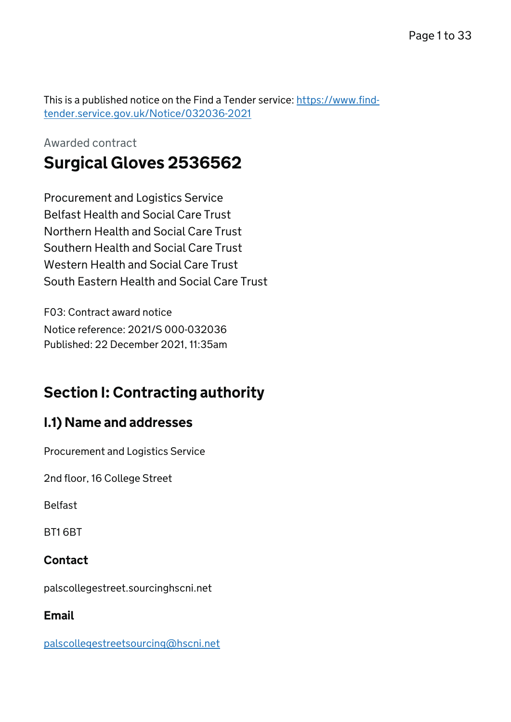This is a published notice on the Find a Tender service: [https://www.find](https://www.find-tender.service.gov.uk/Notice/032036-2021)[tender.service.gov.uk/Notice/032036-2021](https://www.find-tender.service.gov.uk/Notice/032036-2021)

## Awarded contract Surgical Gloves 2536562

Procurement and Logistics Service Belfast Health and Social Care Trust Northern Health and Social Care Trust Southern Health and Social Care Trust Western Health and Social Care Trust South Eastern Health and Social Care Trust

F03: Contract award notice Notice reference: 2021/S 000-032036 Published: 22 December 2021, 11:35am

# Section I: Contracting authority

## I.1) Name and addresses

Procurement and Logistics Service

2nd floor, 16 College Street

Belfast

BT1 6BT

## Contact

palscollegestreet.sourcinghscni.net

## Email

[palscollegestreetsourcing@hscni.net](mailto:palscollegestreetsourcing@hscni.net)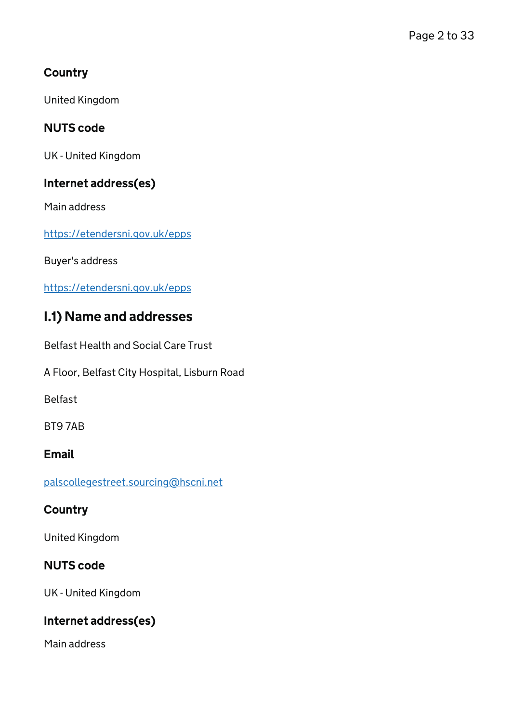### **Country**

United Kingdom

### NUTS code

UK - United Kingdom

### Internet address(es)

Main address

<https://etendersni.gov.uk/epps>

Buyer's address

<https://etendersni.gov.uk/epps>

## I.1) Name and addresses

Belfast Health and Social Care Trust

A Floor, Belfast City Hospital, Lisburn Road

Belfast

BT9 7AB

### **Email**

[palscollegestreet.sourcing@hscni.net](mailto:palscollegestreet.sourcing@hscni.net)

### **Country**

United Kingdom

### NUTS code

UK - United Kingdom

### Internet address(es)

Main address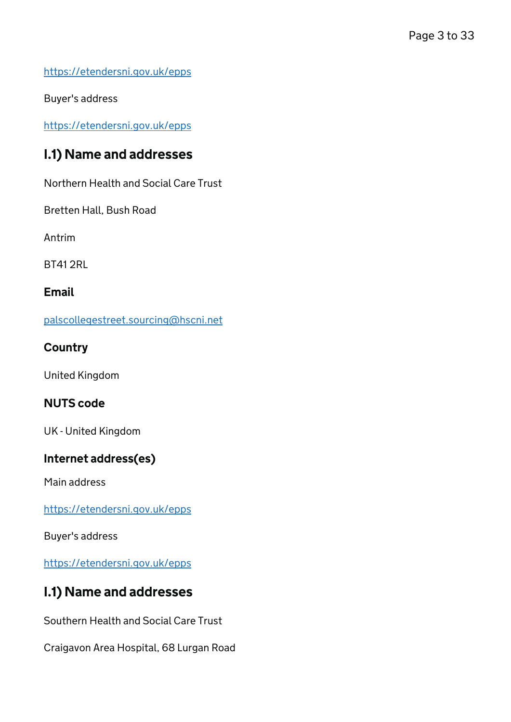<https://etendersni.gov.uk/epps>

Buyer's address

<https://etendersni.gov.uk/epps>

## I.1) Name and addresses

Northern Health and Social Care Trust

Bretten Hall, Bush Road

Antrim

BT41 2RL

#### Email

[palscollegestreet.sourcing@hscni.net](mailto:palscollegestreet.sourcing@hscni.net)

#### **Country**

United Kingdom

### NUTS code

UK - United Kingdom

### Internet address(es)

Main address

<https://etendersni.gov.uk/epps>

Buyer's address

<https://etendersni.gov.uk/epps>

### I.1) Name and addresses

Southern Health and Social Care Trust

Craigavon Area Hospital, 68 Lurgan Road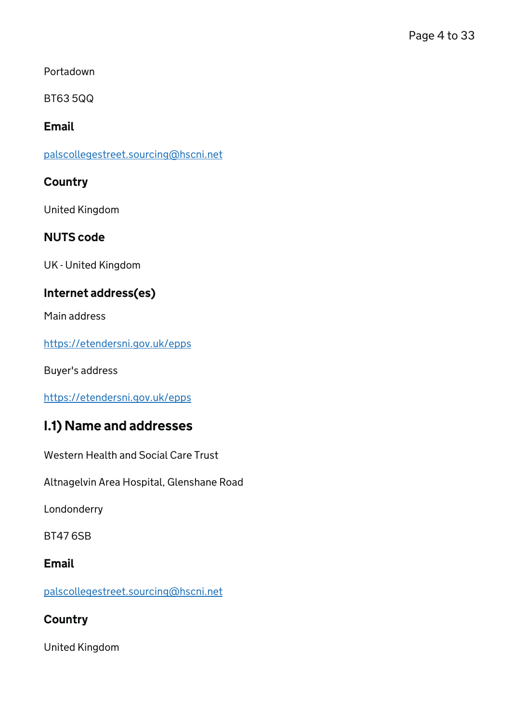Portadown

BT63 5QQ

### Email

[palscollegestreet.sourcing@hscni.net](mailto:palscollegestreet.sourcing@hscni.net)

### **Country**

United Kingdom

### NUTS code

UK - United Kingdom

### Internet address(es)

Main address

<https://etendersni.gov.uk/epps>

Buyer's address

<https://etendersni.gov.uk/epps>

### I.1) Name and addresses

Western Health and Social Care Trust

Altnagelvin Area Hospital, Glenshane Road

Londonderry

BT47 6SB

### Email

[palscollegestreet.sourcing@hscni.net](mailto:palscollegestreet.sourcing@hscni.net)

### **Country**

United Kingdom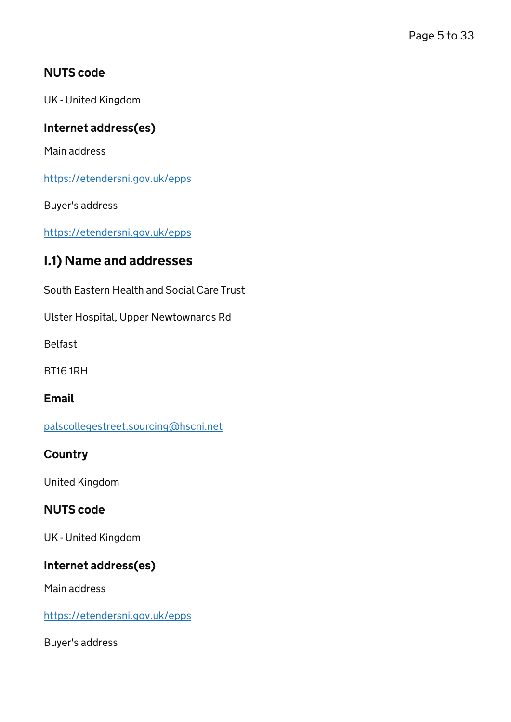### NUTS code

UK - United Kingdom

### Internet address(es)

Main address

<https://etendersni.gov.uk/epps>

Buyer's address

<https://etendersni.gov.uk/epps>

### I.1) Name and addresses

South Eastern Health and Social Care Trust

Ulster Hospital, Upper Newtownards Rd

Belfast

BT16 1RH

**Email** 

[palscollegestreet.sourcing@hscni.net](mailto:palscollegestreet.sourcing@hscni.net)

### **Country**

United Kingdom

### NUTS code

UK - United Kingdom

### Internet address(es)

Main address

<https://etendersni.gov.uk/epps>

Buyer's address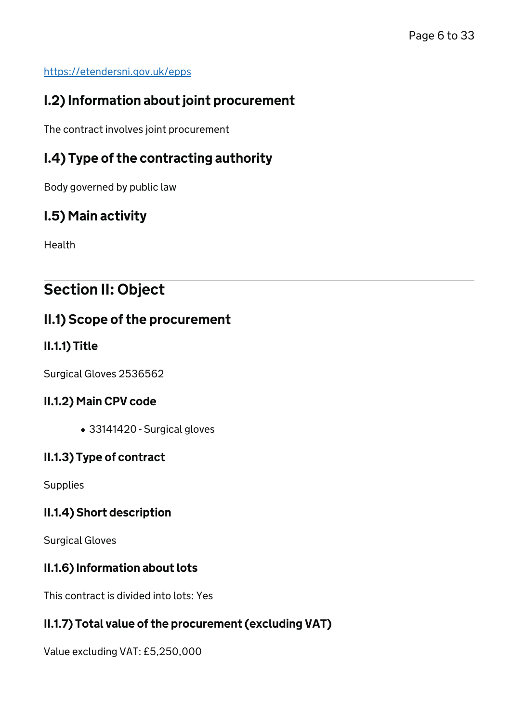#### <https://etendersni.gov.uk/epps>

## I.2) Information about joint procurement

The contract involves joint procurement

## I.4) Type of the contracting authority

Body governed by public law

## I.5) Main activity

Health

# Section II: Object

## II.1) Scope of the procurement

### II.1.1) Title

Surgical Gloves 2536562

### II.1.2) Main CPV code

33141420 - Surgical gloves

### II.1.3) Type of contract

**Supplies** 

### II.1.4) Short description

Surgical Gloves

### II.1.6) Information about lots

This contract is divided into lots: Yes

### II.1.7) Total value of the procurement (excluding VAT)

Value excluding VAT: £5,250,000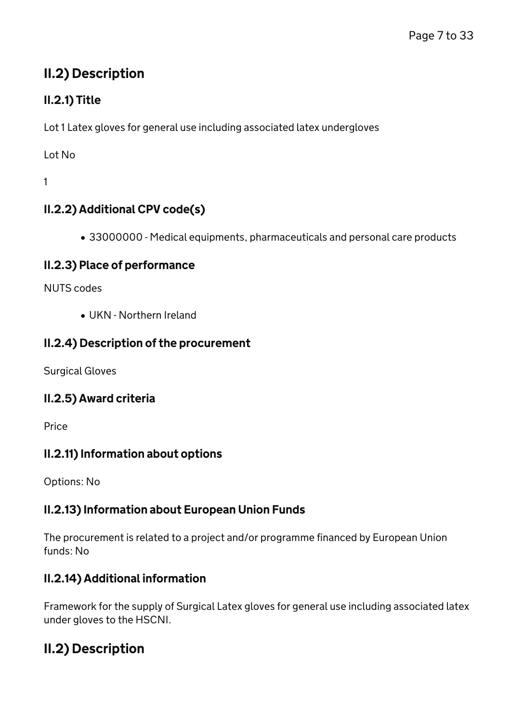## II.2) Description

## II.2.1) Title

Lot 1 Latex gloves for general use including associated latex undergloves

Lot No

1

## II.2.2) Additional CPV code(s)

33000000 - Medical equipments, pharmaceuticals and personal care products

### II.2.3) Place of performance

NUTS codes

UKN - Northern Ireland

### II.2.4) Description of the procurement

Surgical Gloves

### II.2.5) Award criteria

Price

### II.2.11) Information about options

Options: No

### II.2.13) Information about European Union Funds

The procurement is related to a project and/or programme financed by European Union funds: No

### II.2.14) Additional information

Framework for the supply of Surgical Latex gloves for general use including associated latex under gloves to the HSCNI.

## II.2) Description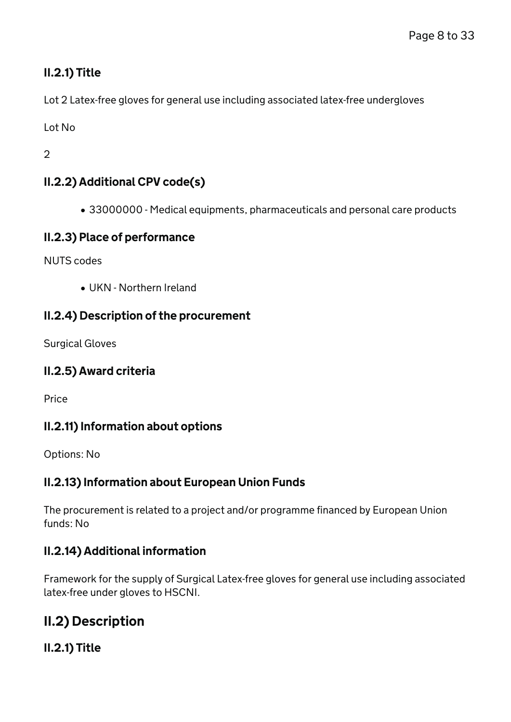### II.2.1) Title

Lot 2 Latex-free gloves for general use including associated latex-free undergloves

Lot No

2

### II.2.2) Additional CPV code(s)

33000000 - Medical equipments, pharmaceuticals and personal care products

### II.2.3) Place of performance

NUTS codes

UKN - Northern Ireland

### II.2.4) Description of the procurement

Surgical Gloves

### II.2.5) Award criteria

Price

### II.2.11) Information about options

Options: No

### II.2.13) Information about European Union Funds

The procurement is related to a project and/or programme financed by European Union funds: No

### II.2.14) Additional information

Framework for the supply of Surgical Latex-free gloves for general use including associated latex-free under gloves to HSCNI.

## II.2) Description

### II.2.1) Title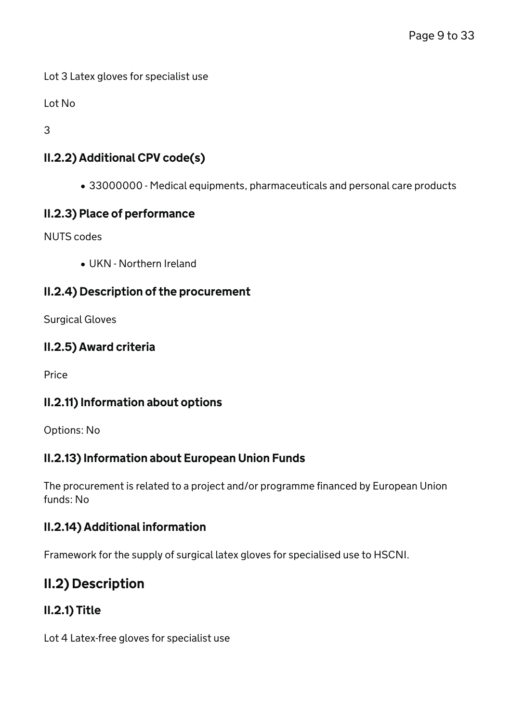Lot 3 Latex gloves for specialist use

Lot No

3

### II.2.2) Additional CPV code(s)

33000000 - Medical equipments, pharmaceuticals and personal care products

### II.2.3) Place of performance

NUTS codes

UKN - Northern Ireland

### II.2.4) Description of the procurement

Surgical Gloves

### II.2.5) Award criteria

Price

### II.2.11) Information about options

Options: No

### II.2.13) Information about European Union Funds

The procurement is related to a project and/or programme financed by European Union funds: No

### II.2.14) Additional information

Framework for the supply of surgical latex gloves for specialised use to HSCNI.

## II.2) Description

### II.2.1) Title

Lot 4 Latex-free gloves for specialist use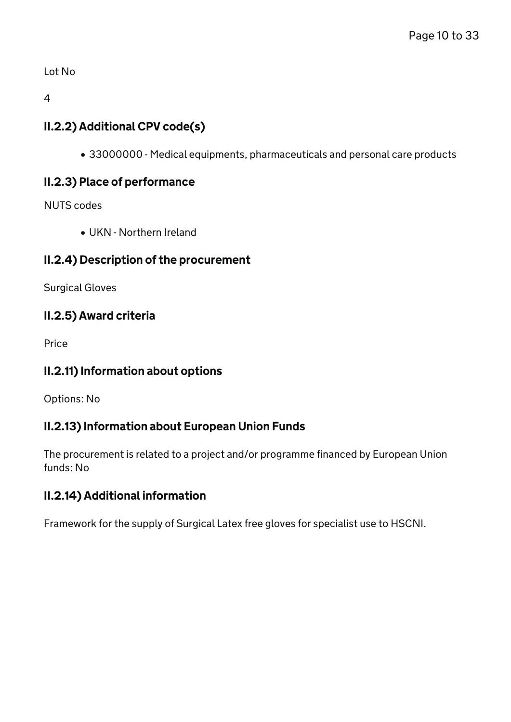Lot No

4

### II.2.2) Additional CPV code(s)

33000000 - Medical equipments, pharmaceuticals and personal care products

### II.2.3) Place of performance

NUTS codes

UKN - Northern Ireland

### II.2.4) Description of the procurement

Surgical Gloves

### II.2.5) Award criteria

Price

### II.2.11) Information about options

Options: No

### II.2.13) Information about European Union Funds

The procurement is related to a project and/or programme financed by European Union funds: No

### II.2.14) Additional information

Framework for the supply of Surgical Latex free gloves for specialist use to HSCNI.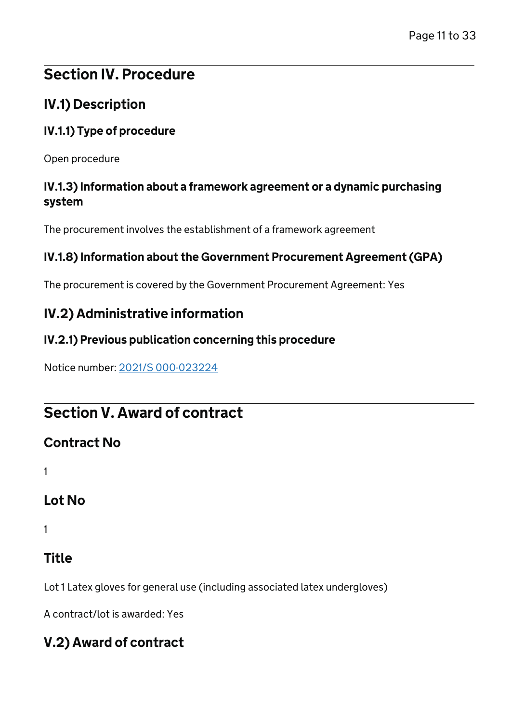# Section IV. Procedure

## IV.1) Description

### IV.1.1) Type of procedure

Open procedure

### IV.1.3) Information about a framework agreement or a dynamic purchasing system

The procurement involves the establishment of a framework agreement

### IV.1.8) Information about the Government Procurement Agreement (GPA)

The procurement is covered by the Government Procurement Agreement: Yes

## IV.2) Administrative information

### IV.2.1) Previous publication concerning this procedure

Notice number: [2021/S 000-023224](/Notice/023224-2021)

# Section V. Award of contract

## Contract No

1

## Lot No

1

## Title

Lot 1 Latex gloves for general use (including associated latex undergloves)

A contract/lot is awarded: Yes

## V.2) Award of contract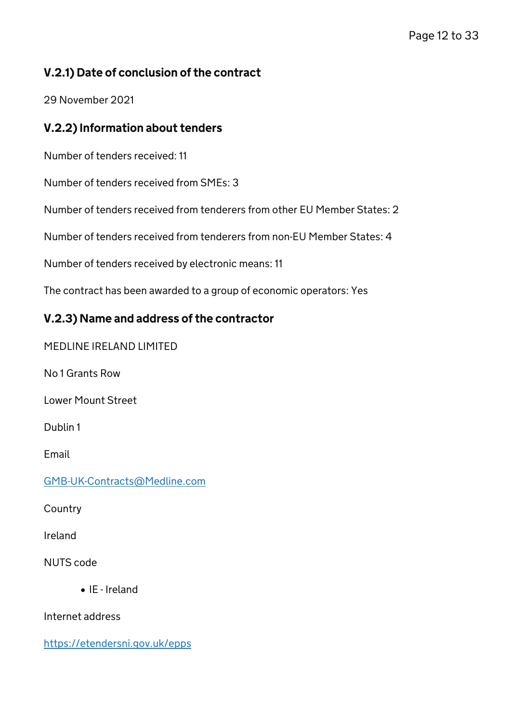### V.2.1) Date of conclusion of the contract

29 November 2021

### V.2.2) Information about tenders

Number of tenders received: 11

Number of tenders received from SMEs: 3

Number of tenders received from tenderers from other EU Member States: 2

Number of tenders received from tenderers from non-EU Member States: 4

Number of tenders received by electronic means: 11

The contract has been awarded to a group of economic operators: Yes

### V.2.3) Name and address of the contractor

MEDLINE IRELAND LIMITED

No 1 Grants Row

Lower Mount Street

Dublin 1

Email

[GMB-UK-Contracts@Medline.com](mailto:GMB-UK-Contracts@Medline.com)

**Country** 

Ireland

NUTS code

• IE - Ireland

Internet address

<https://etendersni.gov.uk/epps>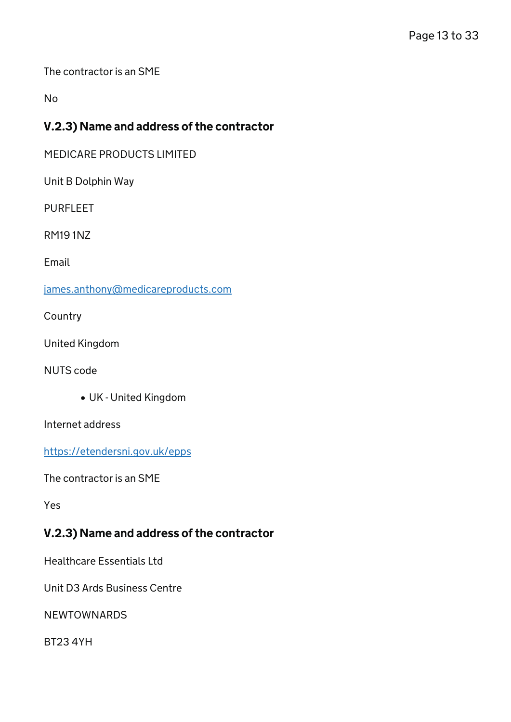The contractor is an SME

No

### V.2.3) Name and address of the contractor

MEDICARE PRODUCTS LIMITED

Unit B Dolphin Way

PURFLEET

RM19 1NZ

Email

[james.anthony@medicareproducts.com](mailto:james.anthony@medicareproducts.com)

**Country** 

United Kingdom

NUTS code

UK - United Kingdom

Internet address

<https://etendersni.gov.uk/epps>

The contractor is an SME

Yes

### V.2.3) Name and address of the contractor

Healthcare Essentials Ltd

Unit D3 Ards Business Centre

NEWTOWNARDS

BT23 4YH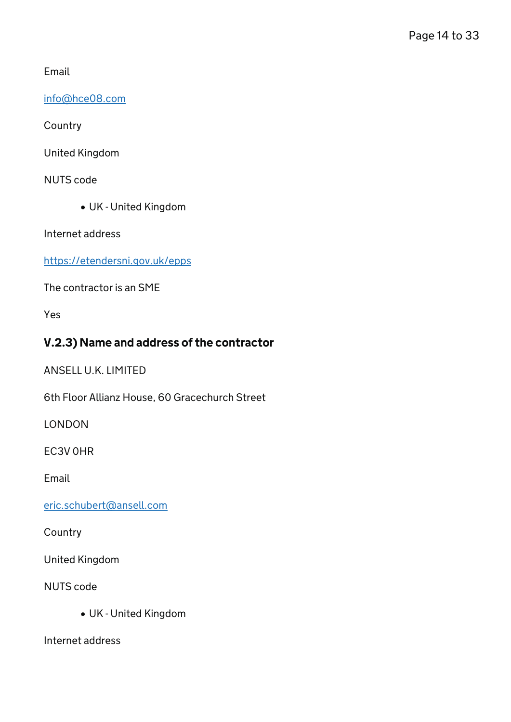Email

[info@hce08.com](mailto:info@hce08.com)

**Country** 

United Kingdom

NUTS code

UK - United Kingdom

Internet address

<https://etendersni.gov.uk/epps>

The contractor is an SME

Yes

### V.2.3) Name and address of the contractor

ANSELL U.K. LIMITED

6th Floor Allianz House, 60 Gracechurch Street

LONDON

EC3V 0HR

Email

[eric.schubert@ansell.com](mailto:eric.schubert@ansell.com)

**Country** 

United Kingdom

NUTS code

UK - United Kingdom

Internet address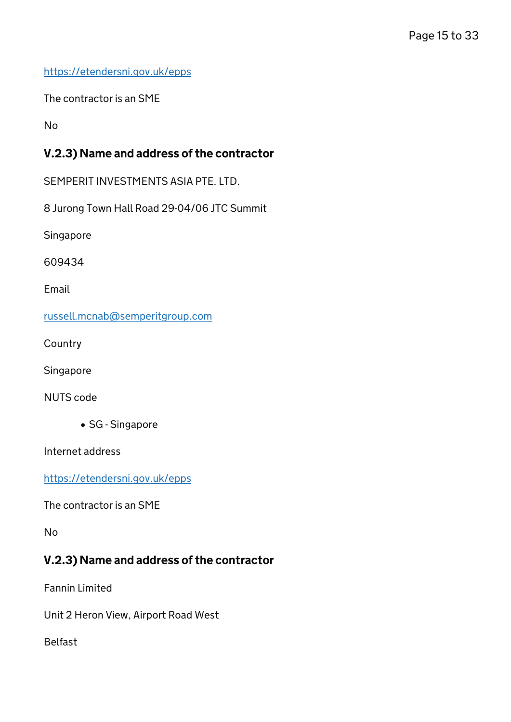<https://etendersni.gov.uk/epps>

The contractor is an SME

No

### V.2.3) Name and address of the contractor

SEMPERIT INVESTMENTS ASIA PTE. LTD.

8 Jurong Town Hall Road 29-04/06 JTC Summit

Singapore

609434

Email

[russell.mcnab@semperitgroup.com](mailto:russell.mcnab@semperitgroup.com)

**Country** 

Singapore

NUTS code

• SG - Singapore

Internet address

<https://etendersni.gov.uk/epps>

The contractor is an SME

No

### V.2.3) Name and address of the contractor

Fannin Limited

Unit 2 Heron View, Airport Road West

Belfast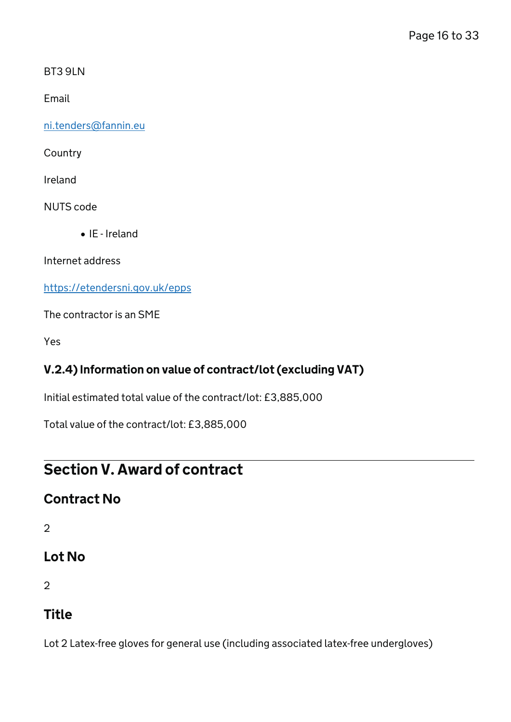BT3 9LN

Email

[ni.tenders@fannin.eu](mailto:ni.tenders@fannin.eu)

Country

Ireland

NUTS code

IE - Ireland

Internet address

<https://etendersni.gov.uk/epps>

The contractor is an SME

Yes

### V.2.4) Information on value of contract/lot (excluding VAT)

Initial estimated total value of the contract/lot: £3,885,000

Total value of the contract/lot: £3,885,000

# Section V. Award of contract

### Contract No

2

## Lot No

2

## Title

Lot 2 Latex-free gloves for general use (including associated latex-free undergloves)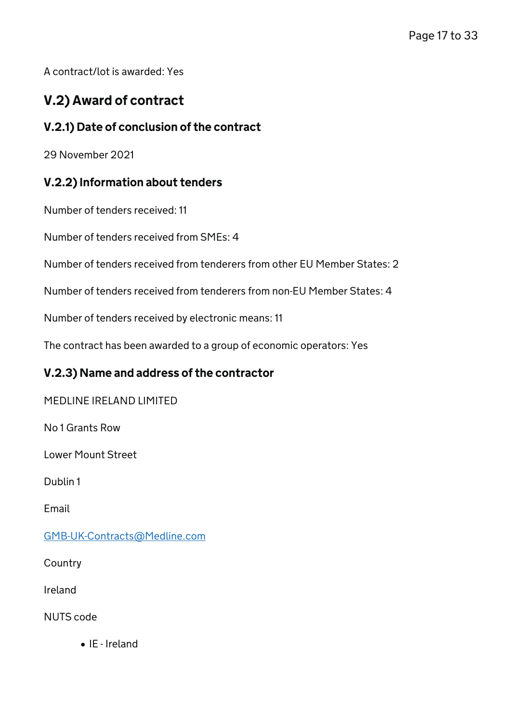A contract/lot is awarded: Yes

## V.2) Award of contract

### V.2.1) Date of conclusion of the contract

29 November 2021

### V.2.2) Information about tenders

Number of tenders received: 11

Number of tenders received from SMEs: 4

Number of tenders received from tenderers from other EU Member States: 2

Number of tenders received from tenderers from non-EU Member States: 4

Number of tenders received by electronic means: 11

The contract has been awarded to a group of economic operators: Yes

### V.2.3) Name and address of the contractor

MEDLINE IRELAND LIMITED

No 1 Grants Row

Lower Mount Street

Dublin 1

Email

[GMB-UK-Contracts@Medline.com](mailto:GMB-UK-Contracts@Medline.com)

**Country** 

Ireland

NUTS code

IE - Ireland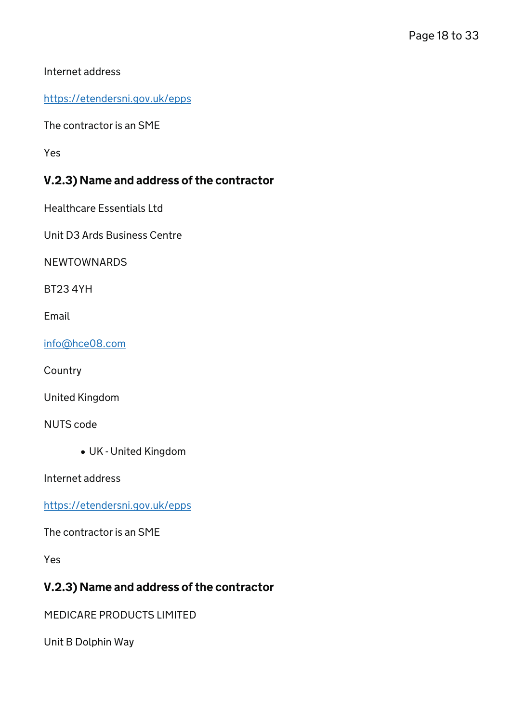Internet address

<https://etendersni.gov.uk/epps>

The contractor is an SME

Yes

### V.2.3) Name and address of the contractor

Healthcare Essentials Ltd

Unit D3 Ards Business Centre

NEWTOWNARDS

BT23 4YH

Email

[info@hce08.com](mailto:info@hce08.com)

**Country** 

United Kingdom

NUTS code

UK - United Kingdom

Internet address

<https://etendersni.gov.uk/epps>

The contractor is an SME

Yes

### V.2.3) Name and address of the contractor

MEDICARE PRODUCTS LIMITED

Unit B Dolphin Way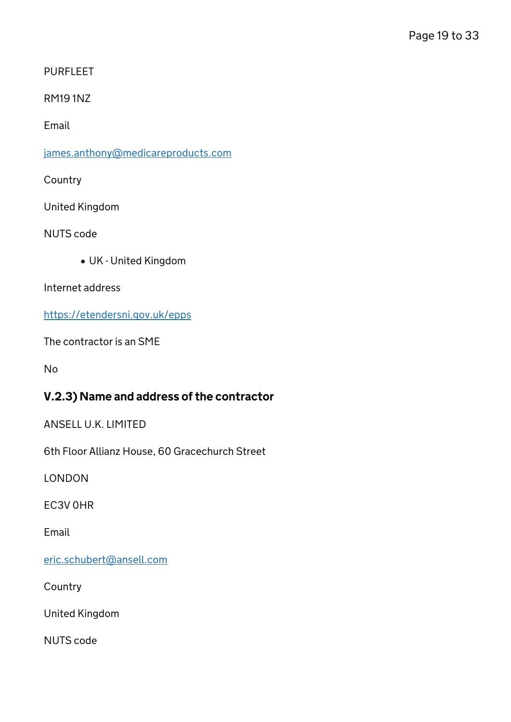PURFLEET

RM19 1NZ

Email

[james.anthony@medicareproducts.com](mailto:james.anthony@medicareproducts.com)

**Country** 

United Kingdom

NUTS code

UK - United Kingdom

Internet address

<https://etendersni.gov.uk/epps>

The contractor is an SME

No

### V.2.3) Name and address of the contractor

ANSELL U.K. LIMITED

6th Floor Allianz House, 60 Gracechurch Street

LONDON

EC3V 0HR

Email

[eric.schubert@ansell.com](mailto:eric.schubert@ansell.com)

**Country** 

United Kingdom

NUTS code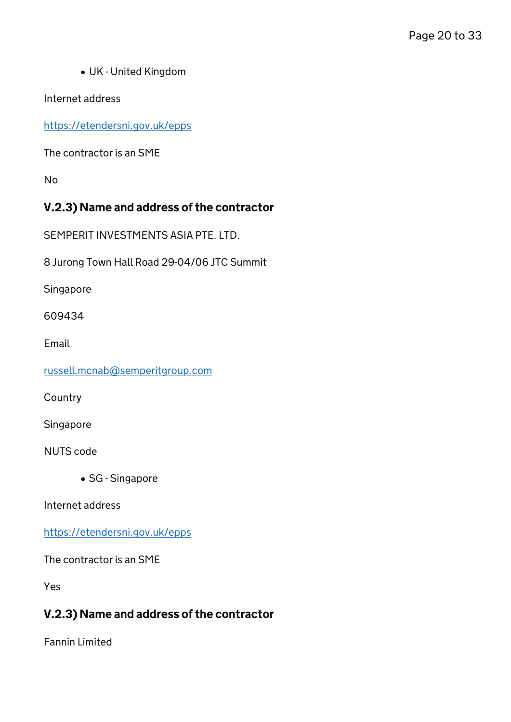UK - United Kingdom

Internet address

<https://etendersni.gov.uk/epps>

The contractor is an SME

No

### V.2.3) Name and address of the contractor

SEMPERIT INVESTMENTS ASIA PTE. LTD.

8 Jurong Town Hall Road 29-04/06 JTC Summit

Singapore

609434

Email

[russell.mcnab@semperitgroup.com](mailto:russell.mcnab@semperitgroup.com)

**Country** 

Singapore

NUTS code

• SG - Singapore

Internet address

<https://etendersni.gov.uk/epps>

The contractor is an SME

Yes

### V.2.3) Name and address of the contractor

Fannin Limited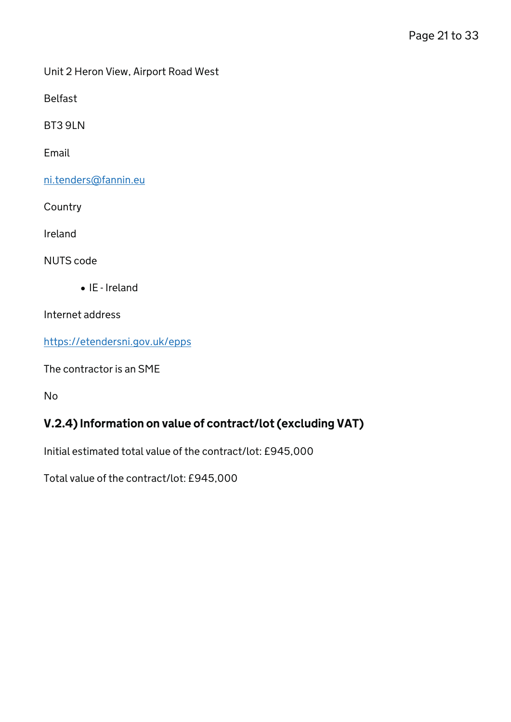Unit 2 Heron View, Airport Road West

Belfast

BT3 9LN

Email

[ni.tenders@fannin.eu](mailto:ni.tenders@fannin.eu)

**Country** 

Ireland

NUTS code

 $\bullet$  IE - Ireland

Internet address

<https://etendersni.gov.uk/epps>

The contractor is an SME

No

### V.2.4) Information on value of contract/lot (excluding VAT)

Initial estimated total value of the contract/lot: £945,000

Total value of the contract/lot: £945,000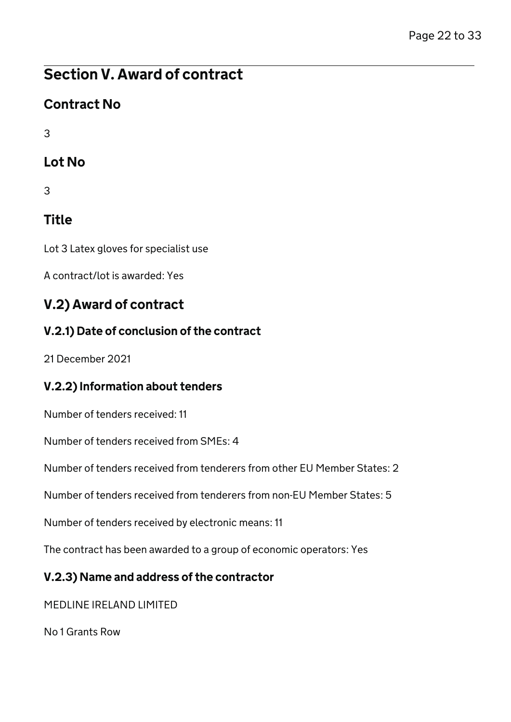# Section V. Award of contract

## Contract No

3

## Lot No

3

# Title

Lot 3 Latex gloves for specialist use

A contract/lot is awarded: Yes

## V.2) Award of contract

## V.2.1) Date of conclusion of the contract

21 December 2021

## V.2.2) Information about tenders

Number of tenders received: 11

Number of tenders received from SMEs: 4

Number of tenders received from tenderers from other EU Member States: 2

Number of tenders received from tenderers from non-EU Member States: 5

Number of tenders received by electronic means: 11

The contract has been awarded to a group of economic operators: Yes

## V.2.3) Name and address of the contractor

MEDLINE IRELAND LIMITED

No 1 Grants Row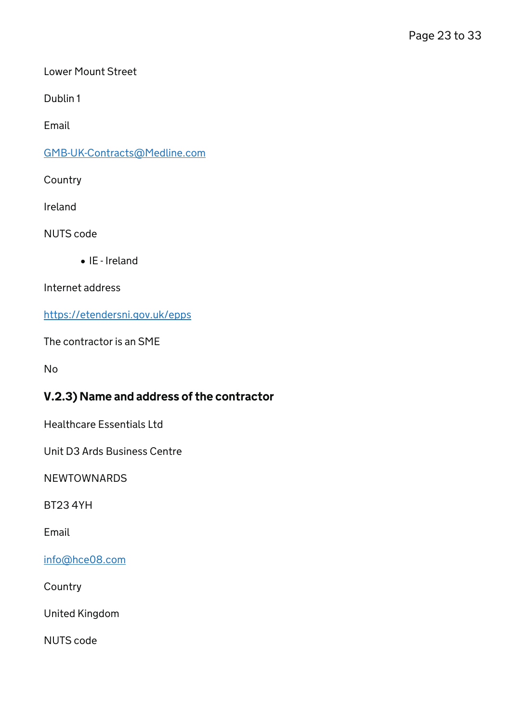Lower Mount Street

Dublin 1

Email

[GMB-UK-Contracts@Medline.com](mailto:GMB-UK-Contracts@Medline.com)

**Country** 

Ireland

NUTS code

IE - Ireland

Internet address

<https://etendersni.gov.uk/epps>

The contractor is an SME

No

### V.2.3) Name and address of the contractor

Healthcare Essentials Ltd

Unit D3 Ards Business Centre

**NEWTOWNARDS** 

BT23 4YH

Email

[info@hce08.com](mailto:info@hce08.com)

**Country** 

United Kingdom

NUTS code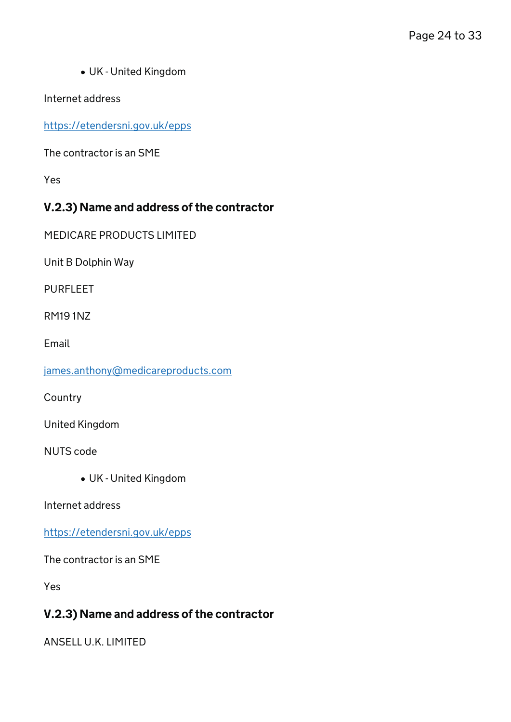UK - United Kingdom

Internet address

<https://etendersni.gov.uk/epps>

The contractor is an SME

Yes

### V.2.3) Name and address of the contractor

MEDICARE PRODUCTS LIMITED

Unit B Dolphin Way

PURFLEET

RM19 1NZ

Email

[james.anthony@medicareproducts.com](mailto:james.anthony@medicareproducts.com)

**Country** 

United Kingdom

NUTS code

UK - United Kingdom

Internet address

<https://etendersni.gov.uk/epps>

The contractor is an SME

Yes

### V.2.3) Name and address of the contractor

ANSELL U.K. LIMITED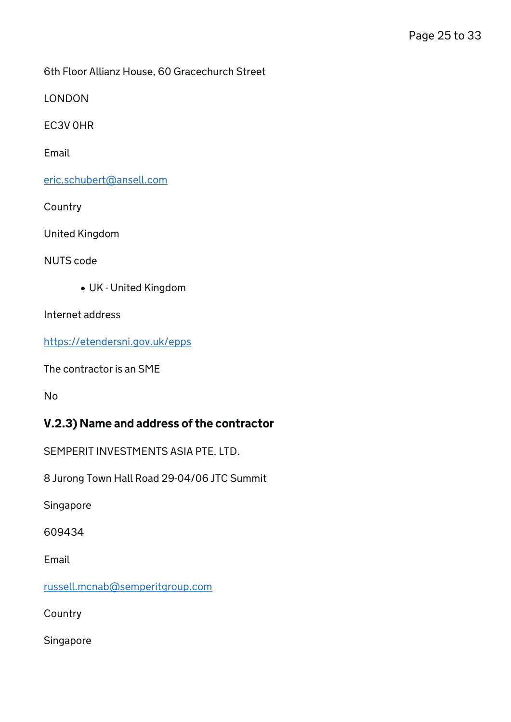6th Floor Allianz House, 60 Gracechurch Street

LONDON

EC3V 0HR

Email

[eric.schubert@ansell.com](mailto:eric.schubert@ansell.com)

**Country** 

United Kingdom

NUTS code

UK - United Kingdom

Internet address

<https://etendersni.gov.uk/epps>

The contractor is an SME

No

### V.2.3) Name and address of the contractor

SEMPERIT INVESTMENTS ASIA PTE. LTD.

8 Jurong Town Hall Road 29-04/06 JTC Summit

Singapore

609434

Email

[russell.mcnab@semperitgroup.com](mailto:russell.mcnab@semperitgroup.com)

**Country** 

Singapore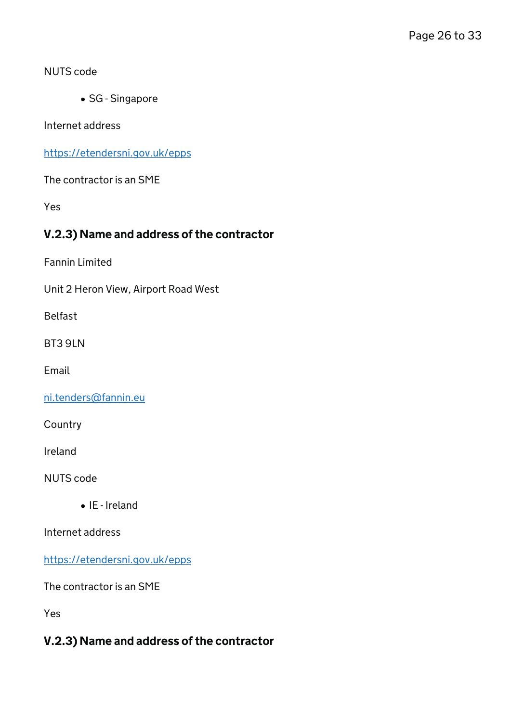#### NUTS code

• SG - Singapore

Internet address

<https://etendersni.gov.uk/epps>

The contractor is an SME

Yes

### V.2.3) Name and address of the contractor

Fannin Limited

Unit 2 Heron View, Airport Road West

Belfast

BT3 9LN

Email

[ni.tenders@fannin.eu](mailto:ni.tenders@fannin.eu)

Country

Ireland

NUTS code

IE - Ireland

Internet address

<https://etendersni.gov.uk/epps>

The contractor is an SME

Yes

### V.2.3) Name and address of the contractor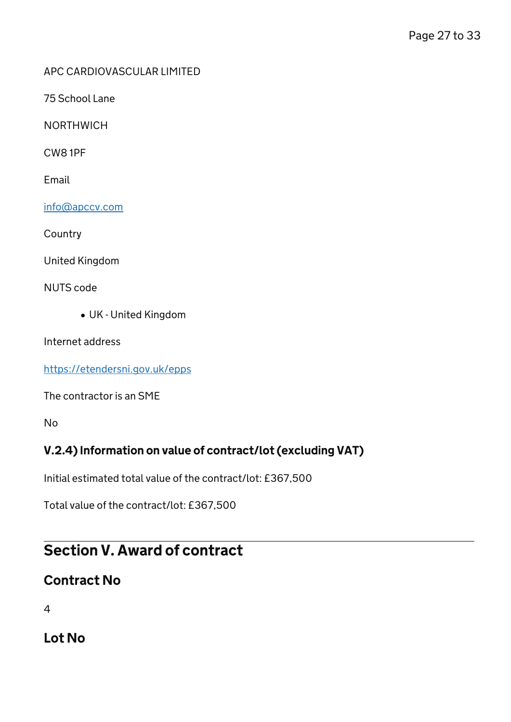#### APC CARDIOVASCULAR LIMITED

75 School Lane

**NORTHWICH** 

CW8 1PF

Email

[info@apccv.com](mailto:info@apccv.com)

**Country** 

United Kingdom

NUTS code

UK - United Kingdom

Internet address

<https://etendersni.gov.uk/epps>

The contractor is an SME

No

### V.2.4) Information on value of contract/lot (excluding VAT)

Initial estimated total value of the contract/lot: £367,500

Total value of the contract/lot: £367,500

## Section V. Award of contract

### Contract No

4

Lot No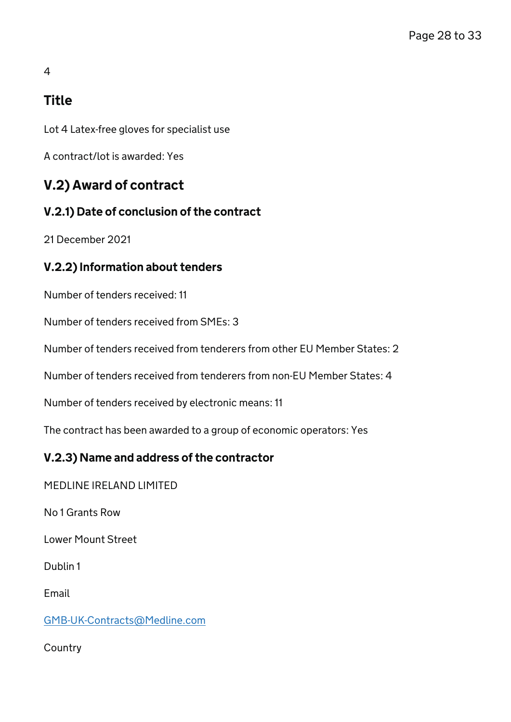## 4

## Title

Lot 4 Latex-free gloves for specialist use

A contract/lot is awarded: Yes

## V.2) Award of contract

### V.2.1) Date of conclusion of the contract

21 December 2021

### V.2.2) Information about tenders

Number of tenders received: 11

Number of tenders received from SMEs: 3

Number of tenders received from tenderers from other EU Member States: 2

Number of tenders received from tenderers from non-EU Member States: 4

Number of tenders received by electronic means: 11

The contract has been awarded to a group of economic operators: Yes

### V.2.3) Name and address of the contractor

MEDLINE IRELAND LIMITED

No 1 Grants Row

Lower Mount Street

Dublin 1

Email

[GMB-UK-Contracts@Medline.com](mailto:GMB-UK-Contracts@Medline.com)

**Country**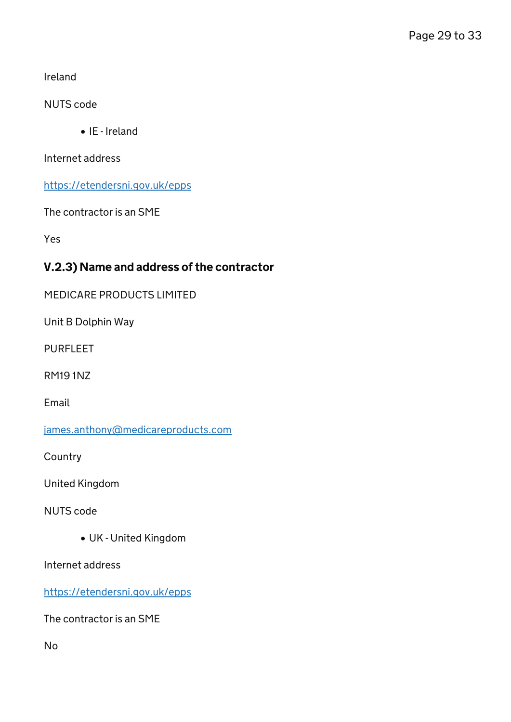Ireland

NUTS code

• IE - Ireland

Internet address

<https://etendersni.gov.uk/epps>

The contractor is an SME

Yes

### V.2.3) Name and address of the contractor

MEDICARE PRODUCTS LIMITED

Unit B Dolphin Way

PURFLEET

RM19 1NZ

Email

[james.anthony@medicareproducts.com](mailto:james.anthony@medicareproducts.com)

**Country** 

United Kingdom

NUTS code

UK - United Kingdom

Internet address

<https://etendersni.gov.uk/epps>

The contractor is an SME

No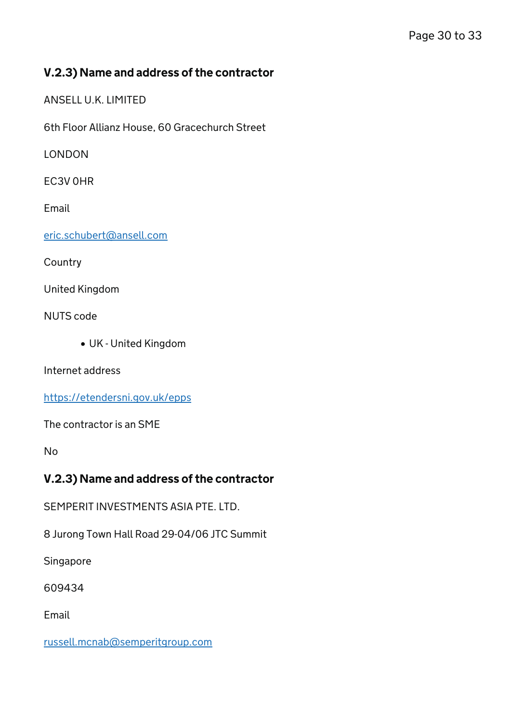### V.2.3) Name and address of the contractor

ANSELL U.K. LIMITED

6th Floor Allianz House, 60 Gracechurch Street

LONDON

EC3V 0HR

Email

[eric.schubert@ansell.com](mailto:eric.schubert@ansell.com)

**Country** 

United Kingdom

NUTS code

UK - United Kingdom

Internet address

<https://etendersni.gov.uk/epps>

The contractor is an SME

No

### V.2.3) Name and address of the contractor

SEMPERIT INVESTMENTS ASIA PTE. LTD.

8 Jurong Town Hall Road 29-04/06 JTC Summit

Singapore

609434

Email

[russell.mcnab@semperitgroup.com](mailto:russell.mcnab@semperitgroup.com)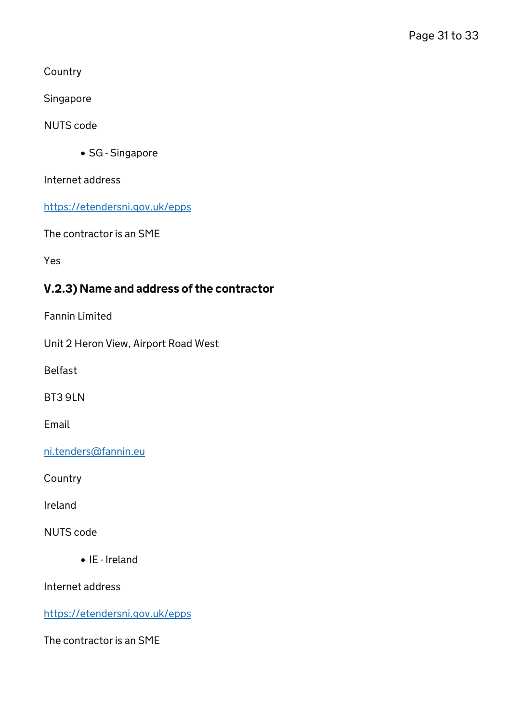**Country** 

Singapore

NUTS code

• SG - Singapore

Internet address

<https://etendersni.gov.uk/epps>

The contractor is an SME

Yes

### V.2.3) Name and address of the contractor

Fannin Limited

Unit 2 Heron View, Airport Road West

Belfast

BT3 9LN

Email

[ni.tenders@fannin.eu](mailto:ni.tenders@fannin.eu)

**Country** 

Ireland

NUTS code

• IE - Ireland

Internet address

<https://etendersni.gov.uk/epps>

The contractor is an SME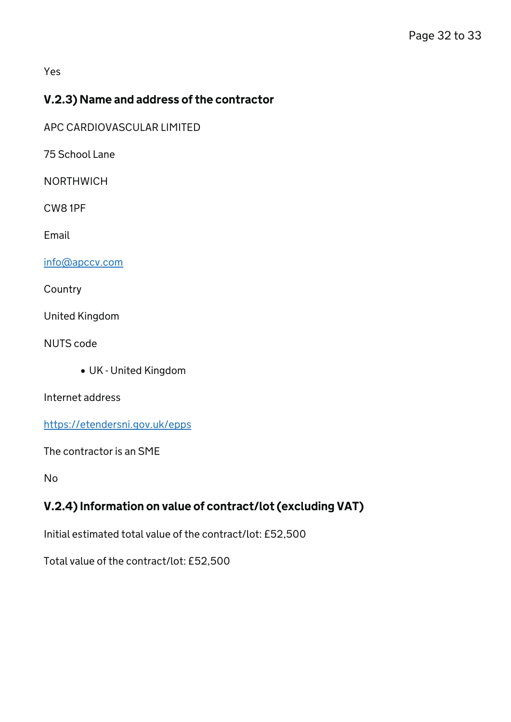Yes

### V.2.3) Name and address of the contractor

APC CARDIOVASCULAR LIMITED

75 School Lane

NORTHWICH

CW8 1PF

Email

[info@apccv.com](mailto:info@apccv.com)

**Country** 

United Kingdom

NUTS code

UK - United Kingdom

Internet address

<https://etendersni.gov.uk/epps>

The contractor is an SME

No

### V.2.4) Information on value of contract/lot (excluding VAT)

Initial estimated total value of the contract/lot: £52,500

Total value of the contract/lot: £52,500